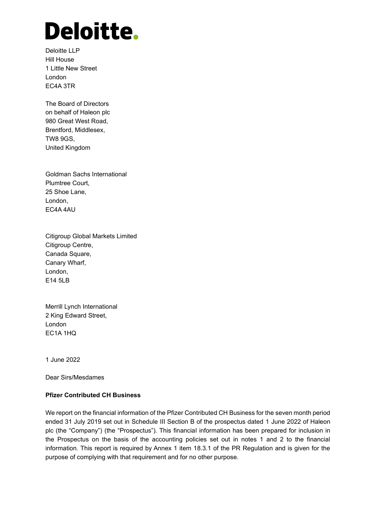# Deloitte.

Deloitte LLP Hill House 1 Little New Street London EC4A 3TR

The Board of Directors on behalf of Haleon plc 980 Great West Road, Brentford, Middlesex, TW8 9GS, United Kingdom

Goldman Sachs International Plumtree Court, 25 Shoe Lane, London, EC4A 4AU

Citigroup Global Markets Limited Citigroup Centre, Canada Square, Canary Wharf, London, E14 5LB

Merrill Lynch International 2 King Edward Street, London EC1A 1HQ

1 June 2022

Dear Sirs/Mesdames

# **Pfizer Contributed CH Business**

We report on the financial information of the Pfizer Contributed CH Business for the seven month period ended 31 July 2019 set out in Schedule III Section B of the prospectus dated 1 June 2022 of Haleon plc (the "Company") (the "Prospectus"). This financial information has been prepared for inclusion in the Prospectus on the basis of the accounting policies set out in notes 1 and 2 to the financial information. This report is required by Annex 1 item 18.3.1 of the PR Regulation and is given for the purpose of complying with that requirement and for no other purpose.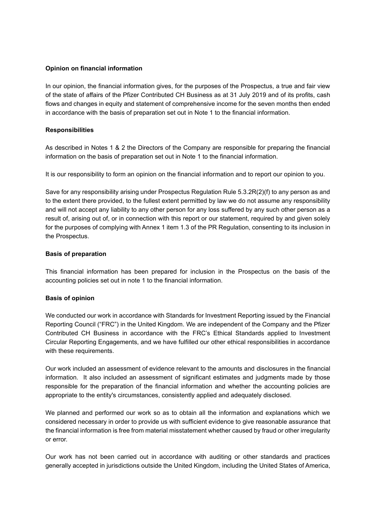## **Opinion on financial information**

In our opinion, the financial information gives, for the purposes of the Prospectus, a true and fair view of the state of affairs of the Pfizer Contributed CH Business as at 31 July 2019 and of its profits, cash flows and changes in equity and statement of comprehensive income for the seven months then ended in accordance with the basis of preparation set out in Note 1 to the financial information.

## **Responsibilities**

As described in Notes 1 & 2 the Directors of the Company are responsible for preparing the financial information on the basis of preparation set out in Note 1 to the financial information.

It is our responsibility to form an opinion on the financial information and to report our opinion to you.

Save for any responsibility arising under Prospectus Regulation Rule 5.3.2R(2)(f) to any person as and to the extent there provided, to the fullest extent permitted by law we do not assume any responsibility and will not accept any liability to any other person for any loss suffered by any such other person as a result of, arising out of, or in connection with this report or our statement, required by and given solely for the purposes of complying with Annex 1 item 1.3 of the PR Regulation, consenting to its inclusion in the Prospectus.

#### **Basis of preparation**

This financial information has been prepared for inclusion in the Prospectus on the basis of the accounting policies set out in note 1 to the financial information.

#### **Basis of opinion**

We conducted our work in accordance with Standards for Investment Reporting issued by the Financial Reporting Council ("FRC") in the United Kingdom. We are independent of the Company and the Pfizer Contributed CH Business in accordance with the FRC's Ethical Standards applied to Investment Circular Reporting Engagements, and we have fulfilled our other ethical responsibilities in accordance with these requirements.

Our work included an assessment of evidence relevant to the amounts and disclosures in the financial information. It also included an assessment of significant estimates and judgments made by those responsible for the preparation of the financial information and whether the accounting policies are appropriate to the entity's circumstances, consistently applied and adequately disclosed.

We planned and performed our work so as to obtain all the information and explanations which we considered necessary in order to provide us with sufficient evidence to give reasonable assurance that the financial information is free from material misstatement whether caused by fraud or other irregularity or error.

Our work has not been carried out in accordance with auditing or other standards and practices generally accepted in jurisdictions outside the United Kingdom, including the United States of America,